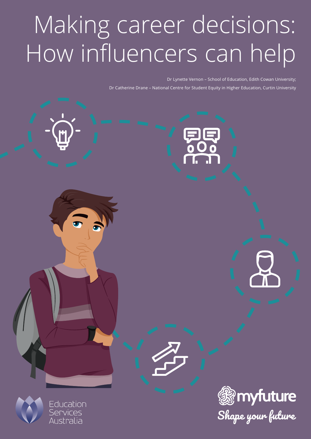# Making career decisions: How influencers can help

Dr Lynette Vernon – School of Education, Edith Cowan University; Dr Catherine Drane – National Centre for Student Equity in Higher Education, Curtin University





Education Services<br>Australia

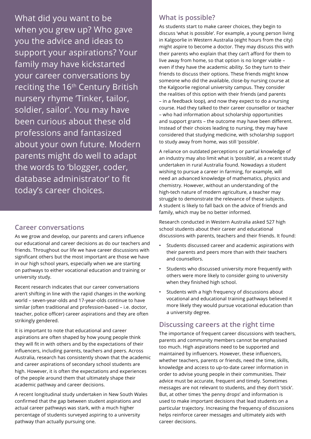What did you want to be when you grew up? Who gave you the advice and ideas to support your aspirations? Your family may have kickstarted your career conversations by reciting the 16<sup>th</sup> Century British nursery rhyme 'Tinker, tailor, soldier, sailor'. You may have been curious about these old professions and fantasized about your own future. Modern parents might do well to adapt the words to 'blogger, coder, database administrator' to fit today's career choices.

#### **Career conversations**

As we grow and develop, our parents and carers influence our educational and career decisions as do our teachers and friends. Throughout our life we have career discussions with significant others but the most important are those we have in our high school years, especially when we are starting on pathways to either vocational education and training or university study.

Recent research indicates that our career conversations aren't shifting in line with the rapid changes in the working world – seven-year-olds and 17-year-olds continue to have similar (often traditional and profession-based – i.e. doctor, teacher, police officer) career aspirations and they are often strikingly gendered.

It is important to note that educational and career aspirations are often shaped by how young people think they will fit in with others and by the expectations of their influencers, including parents, teachers and peers. Across Australia, research has consistently shown that the academic and career aspirations of secondary school students are high. However, it is often the expectations and experiences of the people around them that ultimately shape their academic pathway and career decisions.

A recent longitudinal study undertaken in New South Wales confirmed that the gap between student aspirations and actual career pathways was stark, with a much higher percentage of students surveyed aspiring to a university pathway than actually pursuing one.

## **What is possible?**

As students start to make career choices, they begin to discuss 'what is possible'. For example, a young person living in Kalgoorlie in Western Australia (eight hours from the city) might aspire to become a doctor. They may discuss this with their parents who explain that they can't afford for them to live away from home, so that option is no longer viable – even if they have the academic ability. So they turn to their friends to discuss their options. These friends might know someone who did the available, close-by nursing course at the Kalgoorlie regional university campus. They consider the realities of this option with their friends (and parents – in a feedback loop), and now they expect to do a nursing course. Had they talked to their career counsellor or teacher – who had information about scholarship opportunities and support grants – the outcome may have been different. Instead of their choices leading to nursing, they may have considered that studying medicine, with scholarship support to study away from home, was still 'possible'.

A reliance on outdated perceptions or partial knowledge of an industry may also limit what is 'possible', as a recent study undertaken in rural Australia found. Nowadays a student wishing to pursue a career in farming, for example, will need an advanced knowledge of mathematics, physics and chemistry. However, without an understanding of the high-tech nature of modern agriculture, a teacher may struggle to demonstrate the relevance of these subjects. A student is likely to fall back on the advice of friends and family, which may be no better informed.

Research conducted in Western Australia asked 527 high school students about their career and educational discussions with parents, teachers and their friends. It found:

- Students discussed career and academic aspirations with their parents and peers more than with their teachers and counsellors.
- Students who discussed university more frequently with others were more likely to consider going to university when they finished high school.
- Students with a high frequency of discussions about vocational and educational training pathways believed it more likely they would pursue vocational education than a university degree.

## **Discussing careers at the right time**

The importance of frequent career discussions with teachers, parents and community members cannot be emphasised too much. High aspirations need to be supported and maintained by influencers. However, these influencers, whether teachers, parents or friends, need the time, skills, knowledge and access to up-to-date career information in order to advise young people in their communities. Their advice must be accurate, frequent and timely. Sometimes messages are not relevant to students, and they don't 'stick'. But, at other times 'the penny drops' and information is used to make important decisions that lead students on a particular trajectory. Increasing the frequency of discussions helps reinforce career messages and ultimately aids with career decisions.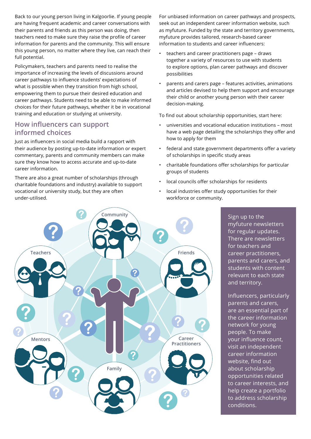Back to our young person living in Kalgoorlie. If young people are having frequent academic and career conversations with their parents and friends as this person was doing, then teachers need to make sure they raise the profile of career information for parents and the community. This will ensure this young person, no matter where they live, can reach their full potential.

Policymakers, teachers and parents need to realise the importance of increasing the levels of discussions around career pathways to influence students' expectations of what is possible when they transition from high school, empowering them to pursue their desired education and career pathways. Students need to be able to make informed choices for their future pathways, whether it be in vocational training and education or studying at university.

### **How influencers can support informed choices**

Just as influencers in social media build a rapport with their audience by posting up-to-date information or expert commentary, parents and community members can make sure they know how to access accurate and up-to-date career information.

There are also a great number of scholarships (through charitable foundations and industry) available to support vocational or university study, but they are often under-utilised.

For unbiased information on career pathways and prospects, seek out an independent career information website, such as myfuture. Funded by the state and territory governments, myfuture provides tailored, research-based career information to students and career influencers:

- teachers and career practitioners page draws together a variety of resources to use with students to explore options, plan career pathways and discover possibilities
- parents and carers page features activities, animations and articles devised to help them support and encourage their child or another young person with their career decision-making.

To find out about scholarship opportunities, start here:

- universities and vocational education institutions most have a web page detailing the scholarships they offer and how to apply for them
- federal and state government departments offer a variety of scholarships in specific study areas
- charitable foundations offer scholarships for particular groups of students
- local councils offer scholarships for residents
- local industries offer study opportunities for their workforce or community.



Sign up to the myfuture newsletters for regular updates. There are newsletters for teachers and career practitioners, parents and carers, and students with content relevant to each state and territory.

Influencers, particularly parents and carers, are an essential part of the career information network for young people. To make your influence count, visit an independent career information website, find out about scholarship opportunities related to career interests, and help create a portfolio to address scholarship conditions.